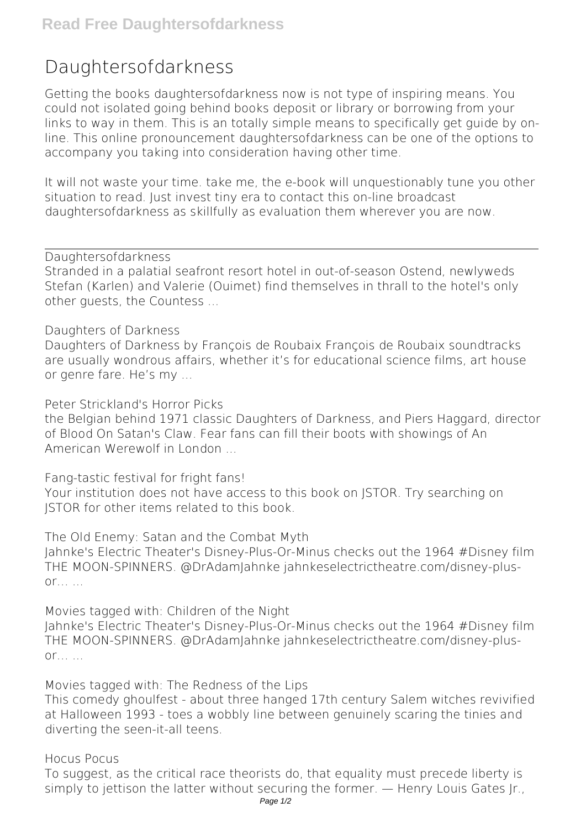## **Daughtersofdarkness**

Getting the books **daughtersofdarkness** now is not type of inspiring means. You could not isolated going behind books deposit or library or borrowing from your links to way in them. This is an totally simple means to specifically get guide by online. This online pronouncement daughtersofdarkness can be one of the options to accompany you taking into consideration having other time.

It will not waste your time. take me, the e-book will unquestionably tune you other situation to read. Just invest tiny era to contact this on-line broadcast **daughtersofdarkness** as skillfully as evaluation them wherever you are now.

*Daughtersofdarkness*

Stranded in a palatial seafront resort hotel in out-of-season Ostend, newlyweds Stefan (Karlen) and Valerie (Ouimet) find themselves in thrall to the hotel's only other guests, the Countess ...

*Daughters of Darkness*

Daughters of Darkness by François de Roubaix François de Roubaix soundtracks are usually wondrous affairs, whether it's for educational science films, art house or genre fare. He's my ...

*Peter Strickland's Horror Picks*

the Belgian behind 1971 classic Daughters of Darkness, and Piers Haggard, director of Blood On Satan's Claw. Fear fans can fill their boots with showings of An American Werewolf in London ...

*Fang-tastic festival for fright fans!*

Your institution does not have access to this book on JSTOR. Try searching on JSTOR for other items related to this book.

*The Old Enemy: Satan and the Combat Myth* Jahnke's Electric Theater's Disney-Plus-Or-Minus checks out the 1964 #Disney film THE MOON-SPINNERS. @DrAdamJahnke jahnkeselectrictheatre.com/disney-plusor… ...

*Movies tagged with: Children of the Night*

Jahnke's Electric Theater's Disney-Plus-Or-Minus checks out the 1964 #Disney film THE MOON-SPINNERS. @DrAdamJahnke jahnkeselectrictheatre.com/disney-plusor… ...

*Movies tagged with: The Redness of the Lips*

This comedy ghoulfest - about three hanged 17th century Salem witches revivified at Halloween 1993 - toes a wobbly line between genuinely scaring the tinies and diverting the seen-it-all teens.

*Hocus Pocus*

To suggest, as the critical race theorists do, that equality must precede liberty is simply to jettison the latter without securing the former. — Henry Louis Gates Jr.,